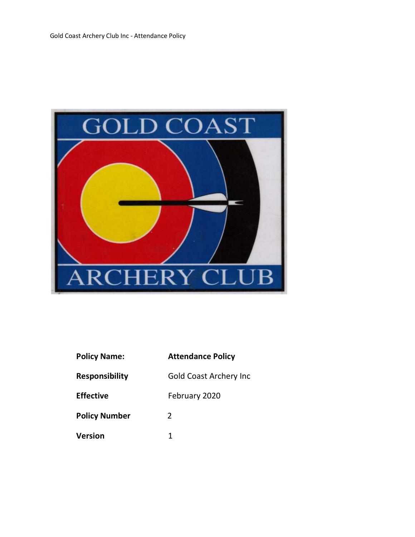

| <b>Attendance Pol</b><br><b>Policy Name:</b> |  |  |
|----------------------------------------------|--|--|
|----------------------------------------------|--|--|

**Responsibility** Gold Coast Archery Inc

2

1

Policy Number

Version

licy

Effective February 2020